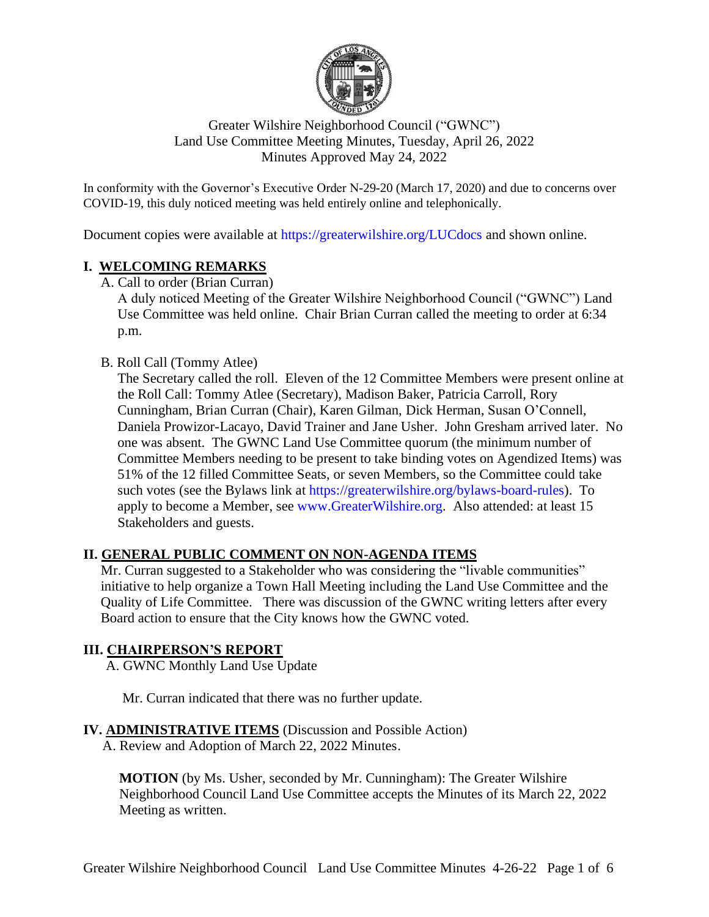

## Greater Wilshire Neighborhood Council ("GWNC") Land Use Committee Meeting Minutes, Tuesday, April 26, 2022 Minutes Approved May 24, 2022

In conformity with the Governor's Executive Order N-29-20 (March 17, 2020) and due to concerns over COVID-19, this duly noticed meeting was held entirely online and telephonically.

Document copies were available at <https://greaterwilshire.org/LUCdocs> and shown online.

### **I. WELCOMING REMARKS**

A. Call to order (Brian Curran)

A duly noticed Meeting of the Greater Wilshire Neighborhood Council ("GWNC") Land Use Committee was held online. Chair Brian Curran called the meeting to order at 6:34 p.m.

### B. Roll Call (Tommy Atlee)

The Secretary called the roll. Eleven of the 12 Committee Members were present online at the Roll Call: Tommy Atlee (Secretary), Madison Baker, Patricia Carroll, Rory Cunningham, Brian Curran (Chair), Karen Gilman, Dick Herman, Susan O'Connell, Daniela Prowizor-Lacayo, David Trainer and Jane Usher. John Gresham arrived later. No one was absent. The GWNC Land Use Committee quorum (the minimum number of Committee Members needing to be present to take binding votes on Agendized Items) was 51% of the 12 filled Committee Seats, or seven Members, so the Committee could take such votes (see the Bylaws link at [https://greaterwilshire.org/bylaws-board-rules\)](https://greaterwilshire.org/bylaws-board-rules). To apply to become a Member, see [www.GreaterWilshire.org.](http://www.greaterwilshire.org/) Also attended: at least 15 Stakeholders and guests.

### **II. GENERAL PUBLIC COMMENT ON NON-AGENDA ITEMS**

Mr. Curran suggested to a Stakeholder who was considering the "livable communities" initiative to help organize a Town Hall Meeting including the Land Use Committee and the Quality of Life Committee. There was discussion of the GWNC writing letters after every Board action to ensure that the City knows how the GWNC voted.

#### **III. CHAIRPERSON'S REPORT**

A. GWNC Monthly Land Use Update

Mr. Curran indicated that there was no further update.

### **IV. ADMINISTRATIVE ITEMS** (Discussion and Possible Action)

A. Review and Adoption of March 22, 2022 Minutes.

**MOTION** (by Ms. Usher, seconded by Mr. Cunningham): The Greater Wilshire Neighborhood Council Land Use Committee accepts the Minutes of its March 22, 2022 Meeting as written.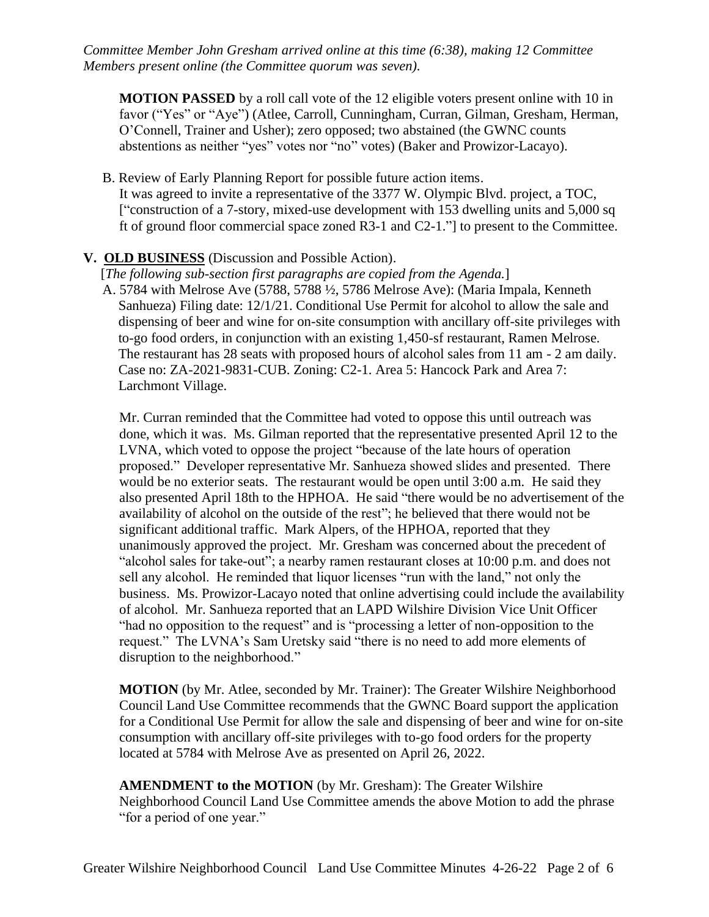*Committee Member John Gresham arrived online at this time (6:38), making 12 Committee Members present online (the Committee quorum was seven).*

**MOTION PASSED** by a roll call vote of the 12 eligible voters present online with 10 in favor ("Yes" or "Aye") (Atlee, Carroll, Cunningham, Curran, Gilman, Gresham, Herman, O'Connell, Trainer and Usher); zero opposed; two abstained (the GWNC counts abstentions as neither "yes" votes nor "no" votes) (Baker and Prowizor-Lacayo).

B. Review of Early Planning Report for possible future action items. It was agreed to invite a representative of the 3377 W. Olympic Blvd. project, a TOC, ["construction of a 7-story, mixed-use development with 153 dwelling units and 5,000 sq ft of ground floor commercial space zoned R3-1 and C2-1."] to present to the Committee.

#### **V. OLD BUSINESS** (Discussion and Possible Action).

[*The following sub-section first paragraphs are copied from the Agenda.*]

A. 5784 with Melrose Ave (5788, 5788 ½, 5786 Melrose Ave): (Maria Impala, Kenneth Sanhueza) Filing date: 12/1/21. Conditional Use Permit for alcohol to allow the sale and dispensing of beer and wine for on-site consumption with ancillary off-site privileges with to-go food orders, in conjunction with an existing 1,450-sf restaurant, Ramen Melrose. The restaurant has 28 seats with proposed hours of alcohol sales from 11 am - 2 am daily. Case no: ZA-2021-9831-CUB. Zoning: C2-1. Area 5: Hancock Park and Area 7: Larchmont Village.

Mr. Curran reminded that the Committee had voted to oppose this until outreach was done, which it was. Ms. Gilman reported that the representative presented April 12 to the LVNA, which voted to oppose the project "because of the late hours of operation proposed." Developer representative Mr. Sanhueza showed slides and presented. There would be no exterior seats. The restaurant would be open until 3:00 a.m. He said they also presented April 18th to the HPHOA. He said "there would be no advertisement of the availability of alcohol on the outside of the rest"; he believed that there would not be significant additional traffic. Mark Alpers, of the HPHOA, reported that they unanimously approved the project. Mr. Gresham was concerned about the precedent of "alcohol sales for take-out"; a nearby ramen restaurant closes at 10:00 p.m. and does not sell any alcohol. He reminded that liquor licenses "run with the land," not only the business. Ms. Prowizor-Lacayo noted that online advertising could include the availability of alcohol. Mr. Sanhueza reported that an LAPD Wilshire Division Vice Unit Officer "had no opposition to the request" and is "processing a letter of non-opposition to the request." The LVNA's Sam Uretsky said "there is no need to add more elements of disruption to the neighborhood."

**MOTION** (by Mr. Atlee, seconded by Mr. Trainer): The Greater Wilshire Neighborhood Council Land Use Committee recommends that the GWNC Board support the application for a Conditional Use Permit for allow the sale and dispensing of beer and wine for on-site consumption with ancillary off-site privileges with to-go food orders for the property located at 5784 with Melrose Ave as presented on April 26, 2022.

**AMENDMENT to the MOTION** (by Mr. Gresham): The Greater Wilshire Neighborhood Council Land Use Committee amends the above Motion to add the phrase "for a period of one year."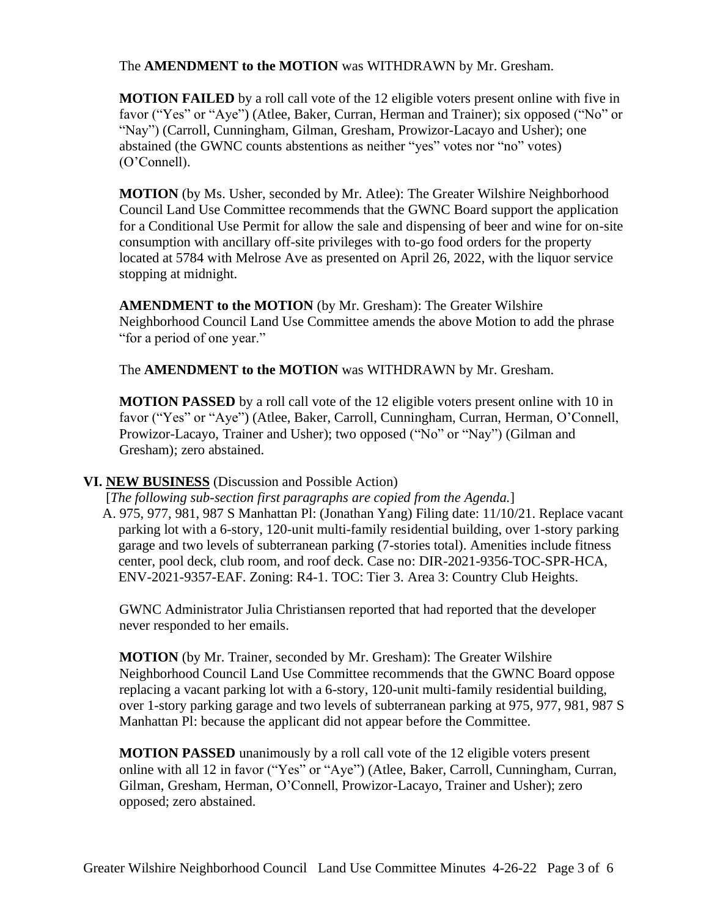#### The **AMENDMENT to the MOTION** was WITHDRAWN by Mr. Gresham.

**MOTION FAILED** by a roll call vote of the 12 eligible voters present online with five in favor ("Yes" or "Aye") (Atlee, Baker, Curran, Herman and Trainer); six opposed ("No" or "Nay") (Carroll, Cunningham, Gilman, Gresham, Prowizor-Lacayo and Usher); one abstained (the GWNC counts abstentions as neither "yes" votes nor "no" votes) (O'Connell).

**MOTION** (by Ms. Usher, seconded by Mr. Atlee): The Greater Wilshire Neighborhood Council Land Use Committee recommends that the GWNC Board support the application for a Conditional Use Permit for allow the sale and dispensing of beer and wine for on-site consumption with ancillary off-site privileges with to-go food orders for the property located at 5784 with Melrose Ave as presented on April 26, 2022, with the liquor service stopping at midnight.

**AMENDMENT to the MOTION** (by Mr. Gresham): The Greater Wilshire Neighborhood Council Land Use Committee amends the above Motion to add the phrase "for a period of one year."

The **AMENDMENT to the MOTION** was WITHDRAWN by Mr. Gresham.

**MOTION PASSED** by a roll call vote of the 12 eligible voters present online with 10 in favor ("Yes" or "Aye") (Atlee, Baker, Carroll, Cunningham, Curran, Herman, O'Connell, Prowizor-Lacayo, Trainer and Usher); two opposed ("No" or "Nay") (Gilman and Gresham); zero abstained.

#### **VI. NEW BUSINESS** (Discussion and Possible Action)

[*The following sub-section first paragraphs are copied from the Agenda.*]

A. 975, 977, 981, 987 S Manhattan Pl: (Jonathan Yang) Filing date: 11/10/21. Replace vacant parking lot with a 6-story, 120-unit multi-family residential building, over 1-story parking garage and two levels of subterranean parking (7-stories total). Amenities include fitness center, pool deck, club room, and roof deck. Case no: DIR-2021-9356-TOC-SPR-HCA, ENV-2021-9357-EAF. Zoning: R4-1. TOC: Tier 3. Area 3: Country Club Heights.

GWNC Administrator Julia Christiansen reported that had reported that the developer never responded to her emails.

**MOTION** (by Mr. Trainer, seconded by Mr. Gresham): The Greater Wilshire Neighborhood Council Land Use Committee recommends that the GWNC Board oppose replacing a vacant parking lot with a 6-story, 120-unit multi-family residential building, over 1-story parking garage and two levels of subterranean parking at 975, 977, 981, 987 S Manhattan Pl: because the applicant did not appear before the Committee.

**MOTION PASSED** unanimously by a roll call vote of the 12 eligible voters present online with all 12 in favor ("Yes" or "Aye") (Atlee, Baker, Carroll, Cunningham, Curran, Gilman, Gresham, Herman, O'Connell, Prowizor-Lacayo, Trainer and Usher); zero opposed; zero abstained.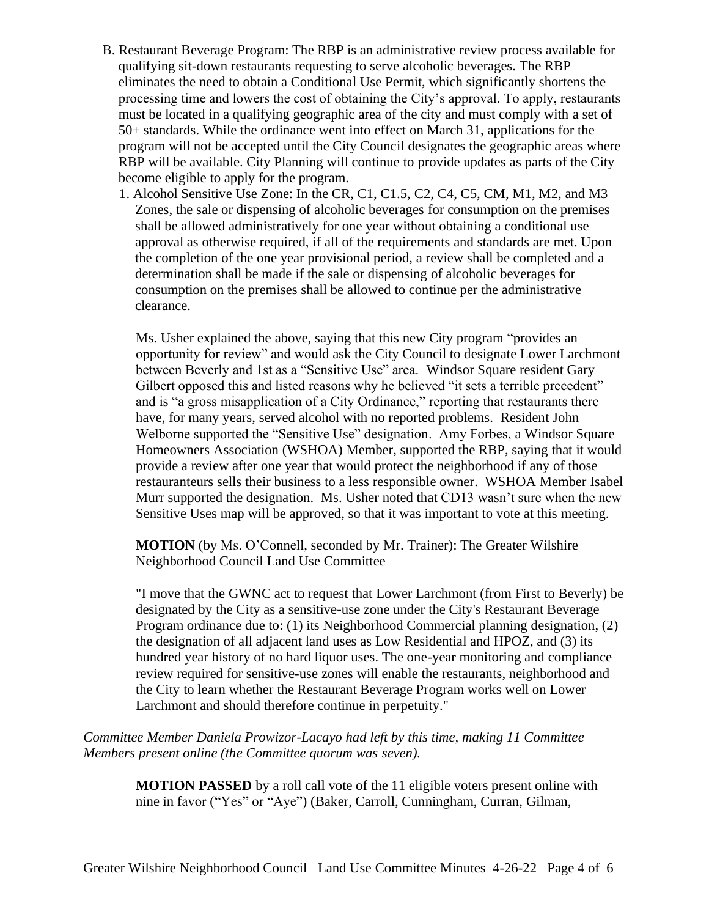- B. Restaurant Beverage Program: The RBP is an administrative review process available for qualifying sit-down restaurants requesting to serve alcoholic beverages. The RBP eliminates the need to obtain a Conditional Use Permit, which significantly shortens the processing time and lowers the cost of obtaining the City's approval. To apply, restaurants must be located in a qualifying geographic area of the city and must comply with a set of 50+ standards. While the ordinance went into effect on March 31, applications for the program will not be accepted until the City Council designates the geographic areas where RBP will be available. City Planning will continue to provide updates as parts of the City become eligible to apply for the program.
	- 1. Alcohol Sensitive Use Zone: In the CR, C1, C1.5, C2, C4, C5, CM, M1, M2, and M3 Zones, the sale or dispensing of alcoholic beverages for consumption on the premises shall be allowed administratively for one year without obtaining a conditional use approval as otherwise required, if all of the requirements and standards are met. Upon the completion of the one year provisional period, a review shall be completed and a determination shall be made if the sale or dispensing of alcoholic beverages for consumption on the premises shall be allowed to continue per the administrative clearance.

Ms. Usher explained the above, saying that this new City program "provides an opportunity for review" and would ask the City Council to designate Lower Larchmont between Beverly and 1st as a "Sensitive Use" area. Windsor Square resident Gary Gilbert opposed this and listed reasons why he believed "it sets a terrible precedent" and is "a gross misapplication of a City Ordinance," reporting that restaurants there have, for many years, served alcohol with no reported problems. Resident John Welborne supported the "Sensitive Use" designation. Amy Forbes, a Windsor Square Homeowners Association (WSHOA) Member, supported the RBP, saying that it would provide a review after one year that would protect the neighborhood if any of those restauranteurs sells their business to a less responsible owner. WSHOA Member Isabel Murr supported the designation. Ms. Usher noted that CD13 wasn't sure when the new Sensitive Uses map will be approved, so that it was important to vote at this meeting.

**MOTION** (by Ms. O'Connell, seconded by Mr. Trainer): The Greater Wilshire Neighborhood Council Land Use Committee

"I move that the GWNC act to request that Lower Larchmont (from First to Beverly) be designated by the City as a sensitive-use zone under the City's Restaurant Beverage Program ordinance due to: (1) its Neighborhood Commercial planning designation, (2) the designation of all adjacent land uses as Low Residential and HPOZ, and (3) its hundred year history of no hard liquor uses. The one-year monitoring and compliance review required for sensitive-use zones will enable the restaurants, neighborhood and the City to learn whether the Restaurant Beverage Program works well on Lower Larchmont and should therefore continue in perpetuity."

*Committee Member Daniela Prowizor-Lacayo had left by this time, making 11 Committee Members present online (the Committee quorum was seven).*

> **MOTION PASSED** by a roll call vote of the 11 eligible voters present online with nine in favor ("Yes" or "Aye") (Baker, Carroll, Cunningham, Curran, Gilman,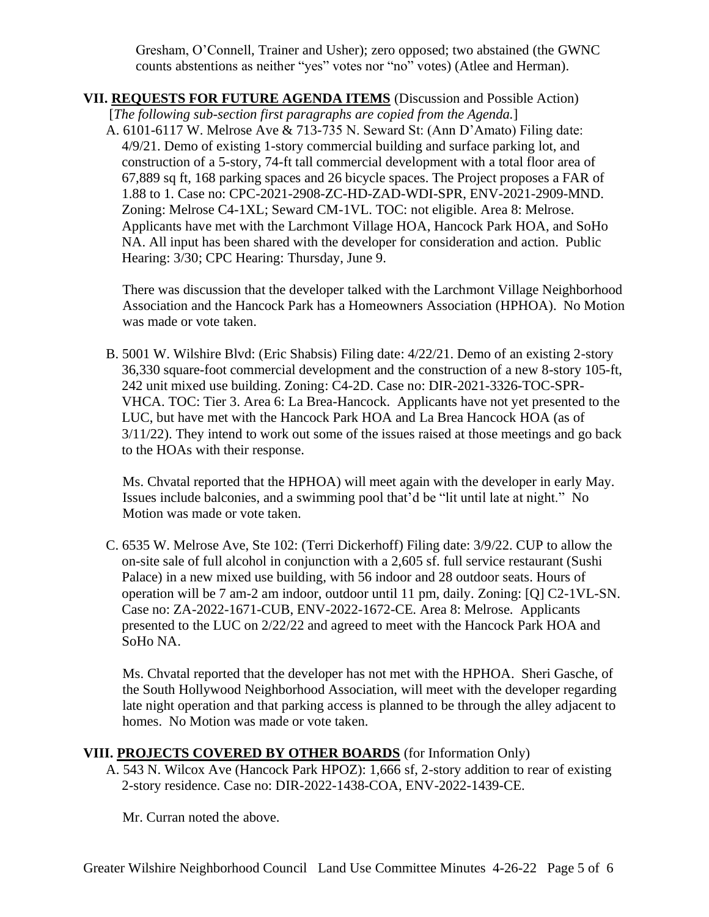Gresham, O'Connell, Trainer and Usher); zero opposed; two abstained (the GWNC counts abstentions as neither "yes" votes nor "no" votes) (Atlee and Herman).

# **VII. REQUESTS FOR FUTURE AGENDA ITEMS** (Discussion and Possible Action)

[*The following sub-section first paragraphs are copied from the Agenda.*]

A. 6101-6117 W. Melrose Ave & 713-735 N. Seward St: (Ann D'Amato) Filing date: 4/9/21. Demo of existing 1-story commercial building and surface parking lot, and construction of a 5-story, 74-ft tall commercial development with a total floor area of 67,889 sq ft, 168 parking spaces and 26 bicycle spaces. The Project proposes a FAR of 1.88 to 1. Case no: CPC-2021-2908-ZC-HD-ZAD-WDI-SPR, ENV-2021-2909-MND. Zoning: Melrose C4-1XL; Seward CM-1VL. TOC: not eligible. Area 8: Melrose. Applicants have met with the Larchmont Village HOA, Hancock Park HOA, and SoHo NA. All input has been shared with the developer for consideration and action. Public Hearing: 3/30; CPC Hearing: Thursday, June 9.

There was discussion that the developer talked with the Larchmont Village Neighborhood Association and the Hancock Park has a Homeowners Association (HPHOA). No Motion was made or vote taken.

B. 5001 W. Wilshire Blvd: (Eric Shabsis) Filing date: 4/22/21. Demo of an existing 2-story 36,330 square-foot commercial development and the construction of a new 8-story 105-ft, 242 unit mixed use building. Zoning: C4-2D. Case no: DIR-2021-3326-TOC-SPR-VHCA. TOC: Tier 3. Area 6: La Brea-Hancock. Applicants have not yet presented to the LUC, but have met with the Hancock Park HOA and La Brea Hancock HOA (as of 3/11/22). They intend to work out some of the issues raised at those meetings and go back to the HOAs with their response.

Ms. Chvatal reported that the HPHOA) will meet again with the developer in early May. Issues include balconies, and a swimming pool that'd be "lit until late at night." No Motion was made or vote taken.

C. 6535 W. Melrose Ave, Ste 102: (Terri Dickerhoff) Filing date: 3/9/22. CUP to allow the on-site sale of full alcohol in conjunction with a 2,605 sf. full service restaurant (Sushi Palace) in a new mixed use building, with 56 indoor and 28 outdoor seats. Hours of operation will be 7 am-2 am indoor, outdoor until 11 pm, daily. Zoning: [Q] C2-1VL-SN. Case no: ZA-2022-1671-CUB, ENV-2022-1672-CE. Area 8: Melrose. Applicants presented to the LUC on 2/22/22 and agreed to meet with the Hancock Park HOA and SoHo NA.

Ms. Chvatal reported that the developer has not met with the HPHOA. Sheri Gasche, of the South Hollywood Neighborhood Association, will meet with the developer regarding late night operation and that parking access is planned to be through the alley adjacent to homes. No Motion was made or vote taken.

# **VIII. PROJECTS COVERED BY OTHER BOARDS** (for Information Only)

A. 543 N. Wilcox Ave (Hancock Park HPOZ): 1,666 sf, 2-story addition to rear of existing 2-story residence. Case no: DIR-2022-1438-COA, ENV-2022-1439-CE.

Mr. Curran noted the above.